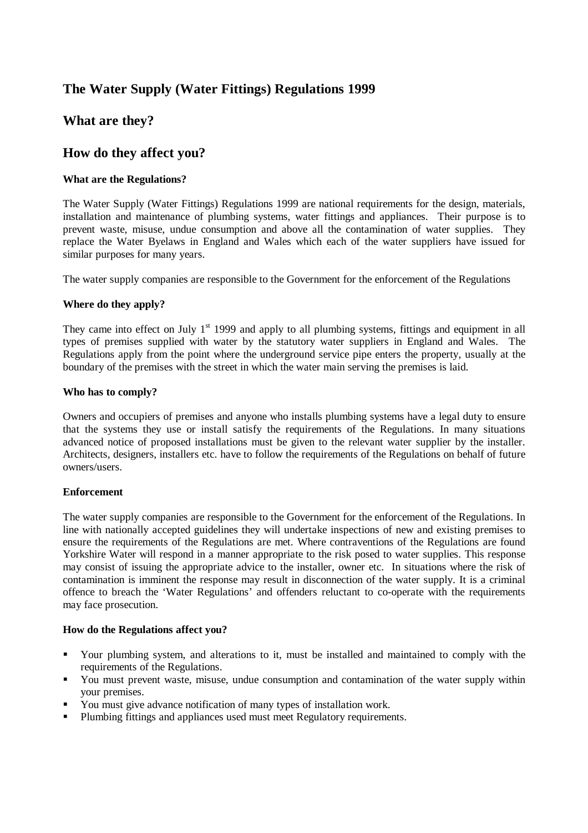# **The Water Supply (Water Fittings) Regulations 1999**

## **What are they?**

## **How do they affect you?**

## **What are the Regulations?**

The Water Supply (Water Fittings) Regulations 1999 are national requirements for the design, materials, installation and maintenance of plumbing systems, water fittings and appliances. Their purpose is to prevent waste, misuse, undue consumption and above all the contamination of water supplies. They replace the Water Byelaws in England and Wales which each of the water suppliers have issued for similar purposes for many years.

The water supply companies are responsible to the Government for the enforcement of the Regulations

## **Where do they apply?**

They came into effect on July 1<sup>st</sup> 1999 and apply to all plumbing systems, fittings and equipment in all types of premises supplied with water by the statutory water suppliers in England and Wales. The Regulations apply from the point where the underground service pipe enters the property, usually at the boundary of the premises with the street in which the water main serving the premises is laid.

## **Who has to comply?**

Owners and occupiers of premises and anyone who installs plumbing systems have a legal duty to ensure that the systems they use or install satisfy the requirements of the Regulations. In many situations advanced notice of proposed installations must be given to the relevant water supplier by the installer. Architects, designers, installers etc. have to follow the requirements of the Regulations on behalf of future owners/users.

## **Enforcement**

The water supply companies are responsible to the Government for the enforcement of the Regulations. In line with nationally accepted guidelines they will undertake inspections of new and existing premises to ensure the requirements of the Regulations are met. Where contraventions of the Regulations are found Yorkshire Water will respond in a manner appropriate to the risk posed to water supplies. This response may consist of issuing the appropriate advice to the installer, owner etc. In situations where the risk of contamination is imminent the response may result in disconnection of the water supply. It is a criminal offence to breach the 'Water Regulations' and offenders reluctant to co-operate with the requirements may face prosecution.

## **How do the Regulations affect you?**

- ß Your plumbing system, and alterations to it, must be installed and maintained to comply with the requirements of the Regulations.
- ß You must prevent waste, misuse, undue consumption and contamination of the water supply within your premises.
- You must give advance notification of many types of installation work.
- **•** Plumbing fittings and appliances used must meet Regulatory requirements.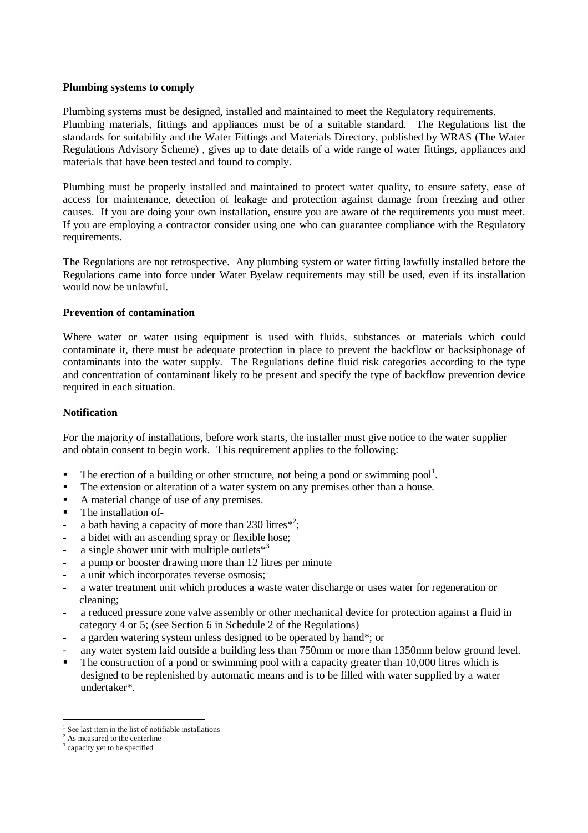#### **Plumbing systems to comply**

Plumbing systems must be designed, installed and maintained to meet the Regulatory requirements. Plumbing materials, fittings and appliances must be of a suitable standard. The Regulations list the standards for suitability and the Water Fittings and Materials Directory, published by WRAS (The Water Regulations Advisory Scheme) , gives up to date details of a wide range of water fittings, appliances and materials that have been tested and found to comply.

Plumbing must be properly installed and maintained to protect water quality, to ensure safety, ease of access for maintenance, detection of leakage and protection against damage from freezing and other causes. If you are doing your own installation, ensure you are aware of the requirements you must meet. If you are employing a contractor consider using one who can guarantee compliance with the Regulatory requirements.

The Regulations are not retrospective. Any plumbing system or water fitting lawfully installed before the Regulations came into force under Water Byelaw requirements may still be used, even if its installation would now be unlawful.

#### **Prevention of contamination**

Where water or water using equipment is used with fluids, substances or materials which could contaminate it, there must be adequate protection in place to prevent the backflow or backsiphonage of contaminants into the water supply. The Regulations define fluid risk categories according to the type and concentration of contaminant likely to be present and specify the type of backflow prevention device required in each situation.

#### **Notification**

For the majority of installations, before work starts, the installer must give notice to the water supplier and obtain consent to begin work. This requirement applies to the following:

- $\blacksquare$  The erection of a building or other structure, not being a pond or swimming pool<sup>1</sup>.
- The extension or alteration of a water system on any premises other than a house.
- ß A material change of use of any premises.
- The installation of-
- a bath having a capacity of more than 230 litres<sup> $*^2$ </sup>;
- a bidet with an ascending spray or flexible hose;
- a single shower unit with multiple outlets $*$ <sup>3</sup>
- a pump or booster drawing more than 12 litres per minute
- a unit which incorporates reverse osmosis;
- a water treatment unit which produces a waste water discharge or uses water for regeneration or cleaning;
- a reduced pressure zone valve assembly or other mechanical device for protection against a fluid in category 4 or 5; (see Section 6 in Schedule 2 of the Regulations)
- a garden watering system unless designed to be operated by hand\*; or
- any water system laid outside a building less than 750mm or more than 1350mm below ground level.
- $\blacksquare$  The construction of a pond or swimming pool with a capacity greater than 10,000 litres which is designed to be replenished by automatic means and is to be filled with water supplied by a water undertaker\*.

 $\overline{a}$ 1 See last item in the list of notifiable installations

<sup>&</sup>lt;sup>2</sup> As measured to the centerline

<sup>&</sup>lt;sup>3</sup> capacity yet to be specified